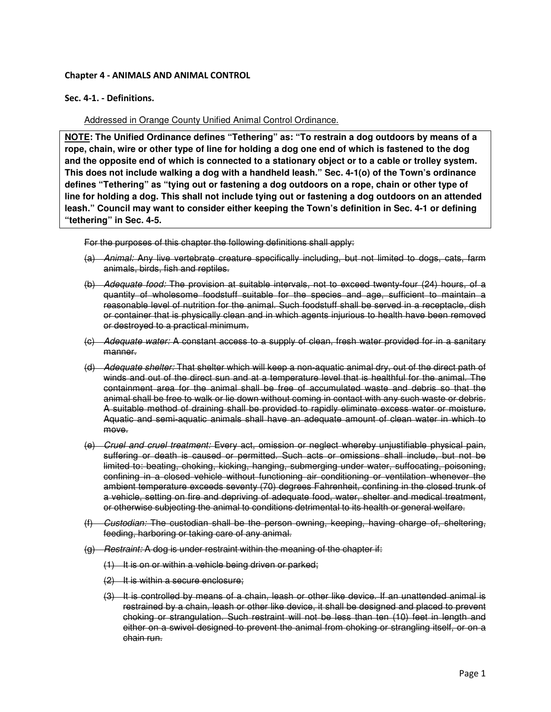# Chapter 4 - ANIMALS AND ANIMAL CONTROL

## Sec. 4-1. - Definitions.

Addressed in Orange County Unified Animal Control Ordinance.

**NOTE: The Unified Ordinance defines "Tethering" as: "To restrain a dog outdoors by means of a rope, chain, wire or other type of line for holding a dog one end of which is fastened to the dog and the opposite end of which is connected to a stationary object or to a cable or trolley system. This does not include walking a dog with a handheld leash." Sec. 4-1(o) of the Town's ordinance defines "Tethering" as "tying out or fastening a dog outdoors on a rope, chain or other type of line for holding a dog. This shall not include tying out or fastening a dog outdoors on an attended leash." Council may want to consider either keeping the Town's definition in Sec. 4-1 or defining "tethering" in Sec. 4-5.** 

For the purposes of this chapter the following definitions shall apply:

- (a) Animal: Any live vertebrate creature specifically including, but not limited to dogs, cats, farm animals, birds, fish and reptiles.
- (b) Adequate food: The provision at suitable intervals, not to exceed twenty-four (24) hours, of a quantity of wholesome foodstuff suitable for the species and age, sufficient to maintain a reasonable level of nutrition for the animal. Such foodstuff shall be served in a receptacle, dish or container that is physically clean and in which agents injurious to health have been removed or destroyed to a practical minimum.
- (c) Adequate water: A constant access to a supply of clean, fresh water provided for in a sanitary manner.
- (d) Adequate shelter: That shelter which will keep a non-aquatic animal dry, out of the direct path of winds and out of the direct sun and at a temperature level that is healthful for the animal. The containment area for the animal shall be free of accumulated waste and debris so that the animal shall be free to walk or lie down without coming in contact with any such waste or debris. A suitable method of draining shall be provided to rapidly eliminate excess water or moisture. Aquatic and semi-aquatic animals shall have an adequate amount of clean water in which to move.
- (e) Cruel and cruel treatment: Every act, omission or neglect whereby unjustifiable physical pain, suffering or death is caused or permitted. Such acts or omissions shall include, but not be limited to: beating, choking, kicking, hanging, submerging under water, suffocating, poisoning, confining in a closed vehicle without functioning air conditioning or ventilation whenever the ambient temperature exceeds seventy (70) degrees Fahrenheit, confining in the closed trunk of a vehicle, setting on fire and depriving of adequate food, water, shelter and medical treatment, or otherwise subjecting the animal to conditions detrimental to its health or general welfare.
- (f) Custodian: The custodian shall be the person owning, keeping, having charge of, sheltering, feeding, harboring or taking care of any animal.
- (g) Restraint: A dog is under restraint within the meaning of the chapter if:
	- (1) It is on or within a vehicle being driven or parked;
	- $(2)$  It is within a secure enclosure;
	- (3) It is controlled by means of a chain, leash or other like device. If an unattended animal is restrained by a chain, leash or other like device, it shall be designed and placed to prevent choking or strangulation. Such restraint will not be less than ten (10) feet in length and either on a swivel designed to prevent the animal from choking or strangling itself, or on a chain run.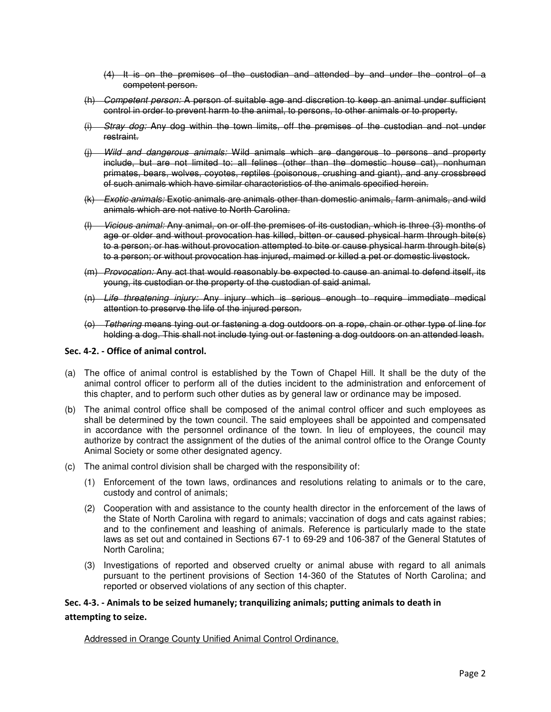- (4) It is on the premises of the custodian and attended by and under the control of a competent person.
- (h) Competent person: A person of suitable age and discretion to keep an animal under sufficient control in order to prevent harm to the animal, to persons, to other animals or to property.
- (i) Stray dog: Any dog within the town limits, off the premises of the custodian and not under restraint.
- (j) Wild and dangerous animals: Wild animals which are dangerous to persons and property include, but are not limited to: all felines (other than the domestic house cat), nonhuman primates, bears, wolves, coyotes, reptiles (poisonous, crushing and giant), and any crossbreed of such animals which have similar characteristics of the animals specified herein.
- (k) Exotic animals: Exotic animals are animals other than domestic animals, farm animals, and wild animals which are not native to North Carolina.
- (l) Vicious animal: Any animal, on or off the premises of its custodian, which is three (3) months of age or older and without provocation has killed, bitten or caused physical harm through bite(s) to a person; or has without provocation attempted to bite or cause physical harm through bite(s) to a person; or without provocation has injured, maimed or killed a pet or domestic livestock.
- (m) Provocation: Any act that would reasonably be expected to cause an animal to defend itself, its young, its custodian or the property of the custodian of said animal.
- (n) Life threatening injury: Any injury which is serious enough to require immediate medical attention to preserve the life of the injured person.
- (o) Tethering means tying out or fastening a dog outdoors on a rope, chain or other type of line for holding a dog. This shall not include tying out or fastening a dog outdoors on an attended leash.

## Sec. 4-2. - Office of animal control.

- (a) The office of animal control is established by the Town of Chapel Hill. It shall be the duty of the animal control officer to perform all of the duties incident to the administration and enforcement of this chapter, and to perform such other duties as by general law or ordinance may be imposed.
- (b) The animal control office shall be composed of the animal control officer and such employees as shall be determined by the town council. The said employees shall be appointed and compensated in accordance with the personnel ordinance of the town. In lieu of employees, the council may authorize by contract the assignment of the duties of the animal control office to the Orange County Animal Society or some other designated agency.
- (c) The animal control division shall be charged with the responsibility of:
	- (1) Enforcement of the town laws, ordinances and resolutions relating to animals or to the care, custody and control of animals;
	- (2) Cooperation with and assistance to the county health director in the enforcement of the laws of the State of North Carolina with regard to animals; vaccination of dogs and cats against rabies; and to the confinement and leashing of animals. Reference is particularly made to the state laws as set out and contained in Sections 67-1 to 69-29 and 106-387 of the General Statutes of North Carolina;
	- (3) Investigations of reported and observed cruelty or animal abuse with regard to all animals pursuant to the pertinent provisions of Section 14-360 of the Statutes of North Carolina; and reported or observed violations of any section of this chapter.

# Sec. 4-3. - Animals to be seized humanely; tranquilizing animals; putting animals to death in attempting to seize.

# Addressed in Orange County Unified Animal Control Ordinance.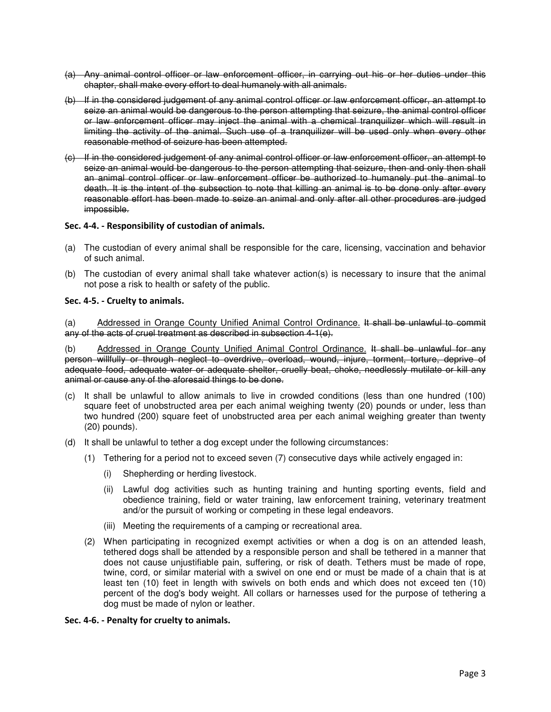- (a) Any animal control officer or law enforcement officer, in carrying out his or her duties under this chapter, shall make every effort to deal humanely with all animals.
- (b) If in the considered judgement of any animal control officer or law enforcement officer, an attempt to seize an animal would be dangerous to the person attempting that seizure, the animal control officer or law enforcement officer may inject the animal with a chemical tranquilizer which will result in limiting the activity of the animal. Such use of a tranquilizer will be used only when every other reasonable method of seizure has been attempted.
- (c) If in the considered judgement of any animal control officer or law enforcement officer, an attempt to seize an animal would be dangerous to the person attempting that seizure, then and only then shall an animal control officer or law enforcement officer be authorized to humanely put the animal to death. It is the intent of the subsection to note that killing an animal is to be done only after every reasonable effort has been made to seize an animal and only after all other procedures are judged impossible.

## Sec. 4-4. - Responsibility of custodian of animals.

- (a) The custodian of every animal shall be responsible for the care, licensing, vaccination and behavior of such animal.
- (b) The custodian of every animal shall take whatever action(s) is necessary to insure that the animal not pose a risk to health or safety of the public.

## Sec. 4-5. - Cruelty to animals.

(a) Addressed in Orange County Unified Animal Control Ordinance. It shall be unlawful to commit any of the acts of cruel treatment as described in subsection 4-1(e).

(b) Addressed in Orange County Unified Animal Control Ordinance. It shall be unlawful for any person willfully or through neglect to overdrive, overload, wound, injure, torment, torture, deprive of adequate food, adequate water or adequate shelter, cruelly beat, choke, needlessly mutilate or kill any animal or cause any of the aforesaid things to be done.

- (c) It shall be unlawful to allow animals to live in crowded conditions (less than one hundred (100) square feet of unobstructed area per each animal weighing twenty (20) pounds or under, less than two hundred (200) square feet of unobstructed area per each animal weighing greater than twenty (20) pounds).
- (d) It shall be unlawful to tether a dog except under the following circumstances:
	- (1) Tethering for a period not to exceed seven (7) consecutive days while actively engaged in:
		- (i) Shepherding or herding livestock.
		- (ii) Lawful dog activities such as hunting training and hunting sporting events, field and obedience training, field or water training, law enforcement training, veterinary treatment and/or the pursuit of working or competing in these legal endeavors.
		- (iii) Meeting the requirements of a camping or recreational area.
	- (2) When participating in recognized exempt activities or when a dog is on an attended leash, tethered dogs shall be attended by a responsible person and shall be tethered in a manner that does not cause unjustifiable pain, suffering, or risk of death. Tethers must be made of rope, twine, cord, or similar material with a swivel on one end or must be made of a chain that is at least ten (10) feet in length with swivels on both ends and which does not exceed ten (10) percent of the dog's body weight. All collars or harnesses used for the purpose of tethering a dog must be made of nylon or leather.

#### Sec. 4-6. - Penalty for cruelty to animals.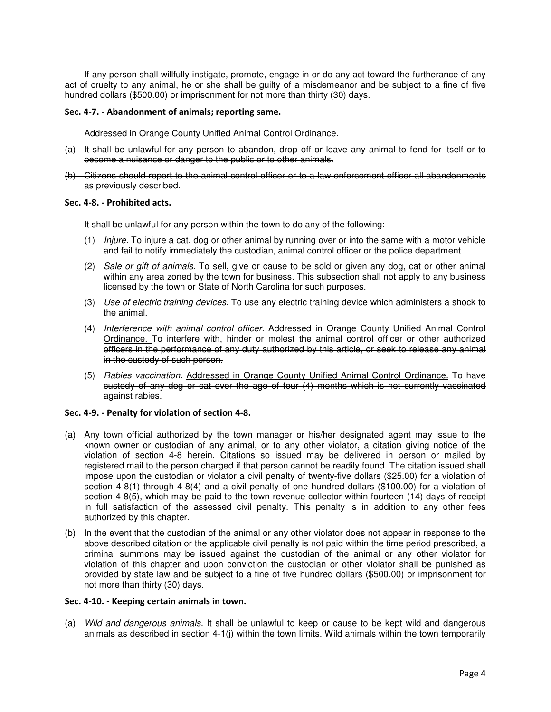If any person shall willfully instigate, promote, engage in or do any act toward the furtherance of any act of cruelty to any animal, he or she shall be guilty of a misdemeanor and be subject to a fine of five hundred dollars (\$500.00) or imprisonment for not more than thirty (30) days.

## Sec. 4-7. - Abandonment of animals; reporting same.

Addressed in Orange County Unified Animal Control Ordinance.

- (a) It shall be unlawful for any person to abandon, drop off or leave any animal to fend for itself or to become a nuisance or danger to the public or to other animals.
- (b) Citizens should report to the animal control officer or to a law enforcement officer all abandonments as previously described.

## Sec. 4-8. - Prohibited acts.

It shall be unlawful for any person within the town to do any of the following:

- (1) Injure. To injure a cat, dog or other animal by running over or into the same with a motor vehicle and fail to notify immediately the custodian, animal control officer or the police department.
- (2) Sale or gift of animals. To sell, give or cause to be sold or given any dog, cat or other animal within any area zoned by the town for business. This subsection shall not apply to any business licensed by the town or State of North Carolina for such purposes.
- (3) Use of electric training devices. To use any electric training device which administers a shock to the animal.
- (4) Interference with animal control officer. Addressed in Orange County Unified Animal Control Ordinance. To interfere with, hinder or molest the animal control officer or other authorized officers in the performance of any duty authorized by this article, or seek to release any animal in the custody of such person.
- (5) Rabies vaccination. Addressed in Orange County Unified Animal Control Ordinance. To have custody of any dog or cat over the age of four (4) months which is not currently vaccinated against rabies.

# Sec. 4-9. - Penalty for violation of section 4-8.

- (a) Any town official authorized by the town manager or his/her designated agent may issue to the known owner or custodian of any animal, or to any other violator, a citation giving notice of the violation of section 4-8 herein. Citations so issued may be delivered in person or mailed by registered mail to the person charged if that person cannot be readily found. The citation issued shall impose upon the custodian or violator a civil penalty of twenty-five dollars (\$25.00) for a violation of section 4-8(1) through 4-8(4) and a civil penalty of one hundred dollars (\$100.00) for a violation of section 4-8(5), which may be paid to the town revenue collector within fourteen (14) days of receipt in full satisfaction of the assessed civil penalty. This penalty is in addition to any other fees authorized by this chapter.
- (b) In the event that the custodian of the animal or any other violator does not appear in response to the above described citation or the applicable civil penalty is not paid within the time period prescribed, a criminal summons may be issued against the custodian of the animal or any other violator for violation of this chapter and upon conviction the custodian or other violator shall be punished as provided by state law and be subject to a fine of five hundred dollars (\$500.00) or imprisonment for not more than thirty (30) days.

#### Sec. 4-10. - Keeping certain animals in town.

(a) Wild and dangerous animals. It shall be unlawful to keep or cause to be kept wild and dangerous animals as described in section 4-1(j) within the town limits. Wild animals within the town temporarily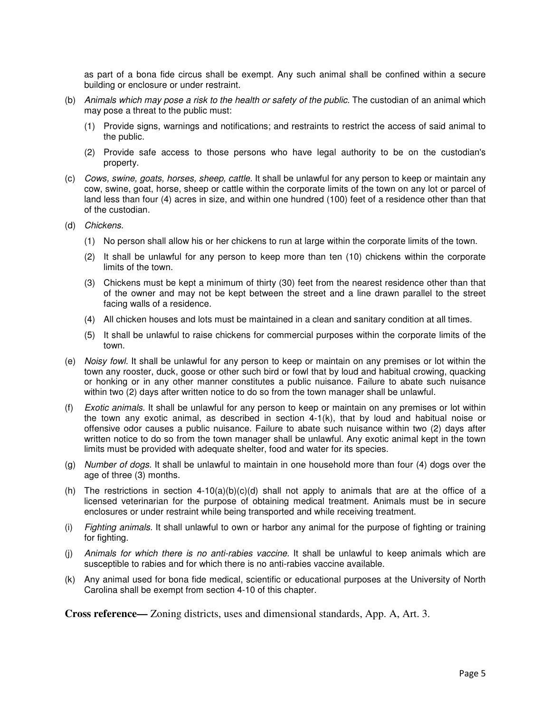as part of a bona fide circus shall be exempt. Any such animal shall be confined within a secure building or enclosure or under restraint.

- (b) Animals which may pose a risk to the health or safety of the public. The custodian of an animal which may pose a threat to the public must:
	- (1) Provide signs, warnings and notifications; and restraints to restrict the access of said animal to the public.
	- (2) Provide safe access to those persons who have legal authority to be on the custodian's property.
- (c) Cows, swine, goats, horses, sheep, cattle. It shall be unlawful for any person to keep or maintain any cow, swine, goat, horse, sheep or cattle within the corporate limits of the town on any lot or parcel of land less than four (4) acres in size, and within one hundred (100) feet of a residence other than that of the custodian.
- (d) Chickens.
	- (1) No person shall allow his or her chickens to run at large within the corporate limits of the town.
	- (2) It shall be unlawful for any person to keep more than ten (10) chickens within the corporate limits of the town.
	- (3) Chickens must be kept a minimum of thirty (30) feet from the nearest residence other than that of the owner and may not be kept between the street and a line drawn parallel to the street facing walls of a residence.
	- (4) All chicken houses and lots must be maintained in a clean and sanitary condition at all times.
	- (5) It shall be unlawful to raise chickens for commercial purposes within the corporate limits of the town.
- (e) Noisy fowl. It shall be unlawful for any person to keep or maintain on any premises or lot within the town any rooster, duck, goose or other such bird or fowl that by loud and habitual crowing, quacking or honking or in any other manner constitutes a public nuisance. Failure to abate such nuisance within two (2) days after written notice to do so from the town manager shall be unlawful.
- (f) Exotic animals. It shall be unlawful for any person to keep or maintain on any premises or lot within the town any exotic animal, as described in section 4-1(k), that by loud and habitual noise or offensive odor causes a public nuisance. Failure to abate such nuisance within two (2) days after written notice to do so from the town manager shall be unlawful. Any exotic animal kept in the town limits must be provided with adequate shelter, food and water for its species.
- (g) Number of dogs. It shall be unlawful to maintain in one household more than four (4) dogs over the age of three (3) months.
- (h) The restrictions in section  $4-10(a)(b)(c)(d)$  shall not apply to animals that are at the office of a licensed veterinarian for the purpose of obtaining medical treatment. Animals must be in secure enclosures or under restraint while being transported and while receiving treatment.
- (i) Fighting animals. It shall unlawful to own or harbor any animal for the purpose of fighting or training for fighting.
- (j) Animals for which there is no anti-rabies vaccine. It shall be unlawful to keep animals which are susceptible to rabies and for which there is no anti-rabies vaccine available.
- (k) Any animal used for bona fide medical, scientific or educational purposes at the University of North Carolina shall be exempt from section 4-10 of this chapter.

**Cross reference—** Zoning districts, uses and dimensional standards, App. A, Art. 3.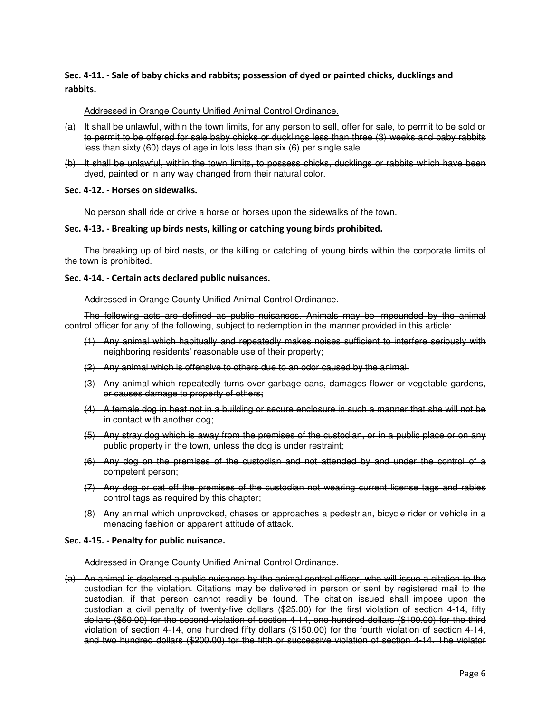# Sec. 4-11. - Sale of baby chicks and rabbits; possession of dyed or painted chicks, ducklings and rabbits.

## Addressed in Orange County Unified Animal Control Ordinance.

- (a) It shall be unlawful, within the town limits, for any person to sell, offer for sale, to permit to be sold or to permit to be offered for sale baby chicks or ducklings less than three (3) weeks and baby rabbits less than sixty (60) days of age in lots less than six (6) per single sale.
- (b) It shall be unlawful, within the town limits, to possess chicks, ducklings or rabbits which have been dyed, painted or in any way changed from their natural color.

#### Sec. 4-12. - Horses on sidewalks.

No person shall ride or drive a horse or horses upon the sidewalks of the town.

## Sec. 4-13. - Breaking up birds nests, killing or catching young birds prohibited.

The breaking up of bird nests, or the killing or catching of young birds within the corporate limits of the town is prohibited.

## Sec. 4-14. - Certain acts declared public nuisances.

Addressed in Orange County Unified Animal Control Ordinance.

The following acts are defined as public nuisances. Animals may be impounded by the animal control officer for any of the following, subject to redemption in the manner provided in this article:

- (1) Any animal which habitually and repeatedly makes noises sufficient to interfere seriously with neighboring residents' reasonable use of their property;
- (2) Any animal which is offensive to others due to an odor caused by the animal;
- (3) Any animal which repeatedly turns over garbage cans, damages flower or vegetable gardens, or causes damage to property of others;
- (4) A female dog in heat not in a building or secure enclosure in such a manner that she will not be in contact with another dog;
- (5) Any stray dog which is away from the premises of the custodian, or in a public place or on any public property in the town, unless the dog is under restraint;
- (6) Any dog on the premises of the custodian and not attended by and under the control of a competent person;
- (7) Any dog or cat off the premises of the custodian not wearing current license tags and rabies control tags as required by this chapter;
- (8) Any animal which unprovoked, chases or approaches a pedestrian, bicycle rider or vehicle in a menacing fashion or apparent attitude of attack.

#### Sec. 4-15. - Penalty for public nuisance.

#### Addressed in Orange County Unified Animal Control Ordinance.

(a) An animal is declared a public nuisance by the animal control officer, who will issue a citation to the custodian for the violation. Citations may be delivered in person or sent by registered mail to the custodian, if that person cannot readily be found. The citation issued shall impose upon the custodian a civil penalty of twenty-five dollars (\$25.00) for the first violation of section 4-14, fifty dollars (\$50.00) for the second violation of section 4-14, one hundred dollars (\$100.00) for the third violation of section 4-14, one hundred fifty dollars (\$150.00) for the fourth violation of section 4-14, and two hundred dollars (\$200.00) for the fifth or successive violation of section 4-14. The violator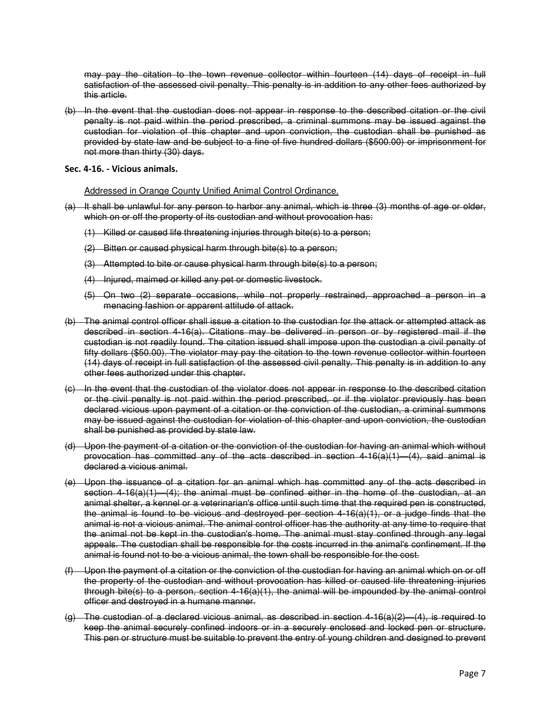may pay the citation to the town revenue collector within fourteen (14) days of receipt in full satisfaction of the assessed civil penalty. This penalty is in addition to any other fees authorized by this article.

(b) In the event that the custodian does not appear in response to the described citation or the civil penalty is not paid within the period prescribed, a criminal summons may be issued against the custodian for violation of this chapter and upon conviction, the custodian shall be punished as provided by state law and be subject to a fine of five hundred dollars (\$500.00) or imprisonment for not more than thirty (30) days.

Sec. 4-16. - Vicious animals.

Addressed in Orange County Unified Animal Control Ordinance.

- (a) It shall be unlawful for any person to harbor any animal, which is three (3) months of age or older, which on or off the property of its custodian and without provocation has:
	- (1) Killed or caused life threatening injuries through bite(s) to a person;
	- (2) Bitten or caused physical harm through bite(s) to a person;
	- (3) Attempted to bite or cause physical harm through bite(s) to a person;
	- (4) Injured, maimed or killed any pet or domestic livestock.
	- (5) On two (2) separate occasions, while not properly restrained, approached a person in a menacing fashion or apparent attitude of attack.
- (b) The animal control officer shall issue a citation to the custodian for the attack or attempted attack as described in section 4-16(a). Citations may be delivered in person or by registered mail if the custodian is not readily found. The citation issued shall impose upon the custodian a civil penalty of fifty dollars (\$50.00). The violator may pay the citation to the town revenue collector within fourteen (14) days of receipt in full satisfaction of the assessed civil penalty. This penalty is in addition to any other fees authorized under this chapter.
- (c) In the event that the custodian of the violator does not appear in response to the described citation or the civil penalty is not paid within the period prescribed, or if the violator previously has been declared vicious upon payment of a citation or the conviction of the custodian, a criminal summons may be issued against the custodian for violation of this chapter and upon conviction, the custodian shall be punished as provided by state law.
- (d) Upon the payment of a citation or the conviction of the custodian for having an animal which without provocation has committed any of the acts described in section  $4-16(a)(1)-(4)$ , said animal is declared a vicious animal.
- (e) Upon the issuance of a citation for an animal which has committed any of the acts described in section  $4-16(a)(1)$   $-(4)$ ; the animal must be confined either in the home of the custodian, at an animal shelter, a kennel or a veterinarian's office until such time that the required pen is constructed, the animal is found to be vicious and destroyed per section  $4-16(a)(1)$ , or a judge finds that the animal is not a vicious animal. The animal control officer has the authority at any time to require that the animal not be kept in the custodian's home. The animal must stay confined through any legal appeals. The custodian shall be responsible for the costs incurred in the animal's confinement. If the animal is found not to be a vicious animal, the town shall be responsible for the cost.
- (f) Upon the payment of a citation or the conviction of the custodian for having an animal which on or off the property of the custodian and without provocation has killed or caused life threatening injuries through bite(s) to a person, section  $4-16(a)(1)$ , the animal will be impounded by the animal control officer and destroyed in a humane manner.
- (g) The custodian of a declared vicious animal, as described in section 4-16(a)(2)—(4), is required to keep the animal securely confined indoors or in a securely enclosed and locked pen or structure. This pen or structure must be suitable to prevent the entry of young children and designed to prevent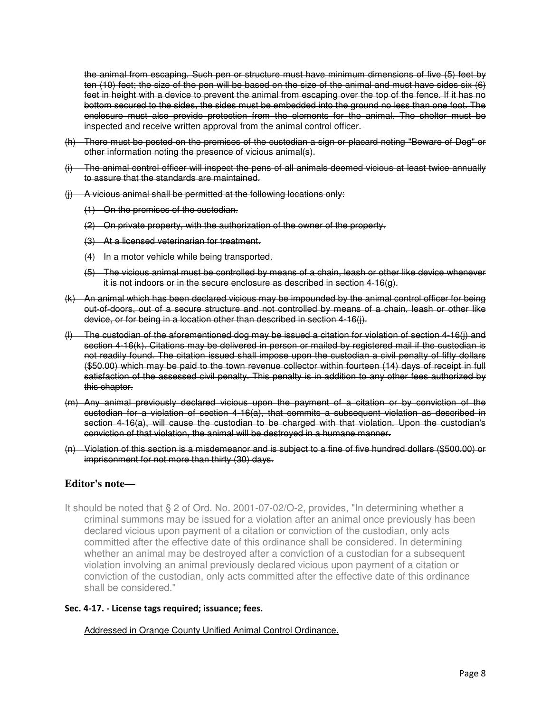the animal from escaping. Such pen or structure must have minimum dimensions of five (5) feet by ten (10) feet; the size of the pen will be based on the size of the animal and must have sides six (6) feet in height with a device to prevent the animal from escaping over the top of the fence. If it has no bottom secured to the sides, the sides must be embedded into the ground no less than one foot. The enclosure must also provide protection from the elements for the animal. The shelter must be inspected and receive written approval from the animal control officer.

- (h) There must be posted on the premises of the custodian a sign or placard noting "Beware of Dog" or other information noting the presence of vicious animal(s).
- (i) The animal control officer will inspect the pens of all animals deemed vicious at least twice annually to assure that the standards are maintained.
- (j) A vicious animal shall be permitted at the following locations only:
	- (1) On the premises of the custodian.
	- (2) On private property, with the authorization of the owner of the property.
	- (3) At a licensed veterinarian for treatment.
	- (4) In a motor vehicle while being transported.
	- (5) The vicious animal must be controlled by means of a chain, leash or other like device whenever it is not indoors or in the secure enclosure as described in section 4-16(g).
- (k) An animal which has been declared vicious may be impounded by the animal control officer for being out-of-doors, out of a secure structure and not controlled by means of a chain, leash or other like device, or for being in a location other than described in section 4-16(j).
- (l) The custodian of the aforementioned dog may be issued a citation for violation of section 4-16(j) and section 4-16(k). Citations may be delivered in person or mailed by registered mail if the custodian is not readily found. The citation issued shall impose upon the custodian a civil penalty of fifty dollars (\$50.00) which may be paid to the town revenue collector within fourteen (14) days of receipt in full satisfaction of the assessed civil penalty. This penalty is in addition to any other fees authorized by this chapter.
- (m) Any animal previously declared vicious upon the payment of a citation or by conviction of the custodian for a violation of section 4-16(a), that commits a subsequent violation as described in section 4-16(a), will cause the custodian to be charged with that violation. Upon the custodian's conviction of that violation, the animal will be destroyed in a humane manner.
- (n) Violation of this section is a misdemeanor and is subject to a fine of five hundred dollars (\$500.00) or imprisonment for not more than thirty (30) days.

# **Editor's note—**

It should be noted that § 2 of Ord. No. 2001-07-02/O-2, provides, "In determining whether a criminal summons may be issued for a violation after an animal once previously has been declared vicious upon payment of a citation or conviction of the custodian, only acts committed after the effective date of this ordinance shall be considered. In determining whether an animal may be destroyed after a conviction of a custodian for a subsequent violation involving an animal previously declared vicious upon payment of a citation or conviction of the custodian, only acts committed after the effective date of this ordinance shall be considered."

# Sec. 4-17. - License tags required; issuance; fees.

Addressed in Orange County Unified Animal Control Ordinance.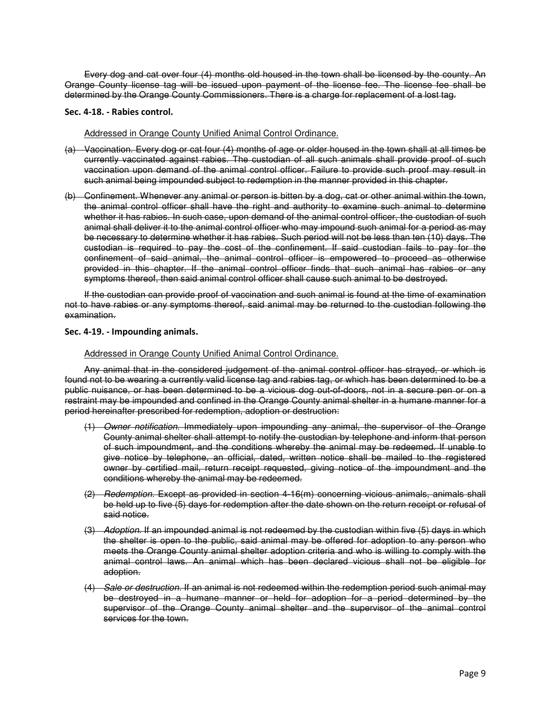Every dog and cat over four (4) months old housed in the town shall be licensed by the county. An Orange County license tag will be issued upon payment of the license fee. The license fee shall be determined by the Orange County Commissioners. There is a charge for replacement of a lost tag.

#### Sec. 4-18. - Rabies control.

## Addressed in Orange County Unified Animal Control Ordinance.

- (a) Vaccination. Every dog or cat four (4) months of age or older housed in the town shall at all times be currently vaccinated against rabies. The custodian of all such animals shall provide proof of such vaccination upon demand of the animal control officer. Failure to provide such proof may result in such animal being impounded subject to redemption in the manner provided in this chapter.
- (b) Confinement. Whenever any animal or person is bitten by a dog, cat or other animal within the town, the animal control officer shall have the right and authority to examine such animal to determine whether it has rabies. In such case, upon demand of the animal control officer, the custodian of such animal shall deliver it to the animal control officer who may impound such animal for a period as may be necessary to determine whether it has rabies. Such period will not be less than ten (10) days. The custodian is required to pay the cost of the confinement. If said custodian fails to pay for the confinement of said animal, the animal control officer is empowered to proceed as otherwise provided in this chapter. If the animal control officer finds that such animal has rabies or any symptoms thereof, then said animal control officer shall cause such animal to be destroyed.

If the custodian can provide proof of vaccination and such animal is found at the time of examination not to have rabies or any symptoms thereof, said animal may be returned to the custodian following the examination.

## Sec. 4-19. - Impounding animals.

## Addressed in Orange County Unified Animal Control Ordinance.

Any animal that in the considered judgement of the animal control officer has strayed, or which is found not to be wearing a currently valid license tag and rabies tag, or which has been determined to be a public nuisance, or has been determined to be a vicious dog out-of-doors, not in a secure pen or on a restraint may be impounded and confined in the Orange County animal shelter in a humane manner for a period hereinafter prescribed for redemption, adoption or destruction:

- (1) Owner notification. Immediately upon impounding any animal, the supervisor of the Orange County animal shelter shall attempt to notify the custodian by telephone and inform that person of such impoundment, and the conditions whereby the animal may be redeemed. If unable to give notice by telephone, an official, dated, written notice shall be mailed to the registered owner by certified mail, return receipt requested, giving notice of the impoundment and the conditions whereby the animal may be redeemed.
- (2) Redemption. Except as provided in section 4-16(m) concerning vicious animals, animals shall be held up to five (5) days for redemption after the date shown on the return receipt or refusal of said notice.
- (3) Adoption. If an impounded animal is not redeemed by the custodian within five (5) days in which the shelter is open to the public, said animal may be offered for adoption to any person who meets the Orange County animal shelter adoption criteria and who is willing to comply with the animal control laws. An animal which has been declared vicious shall not be eligible for adoption.
- (4) Sale or destruction. If an animal is not redeemed within the redemption period such animal may be destroyed in a humane manner or held for adoption for a period determined by the supervisor of the Orange County animal shelter and the supervisor of the animal control services for the town.